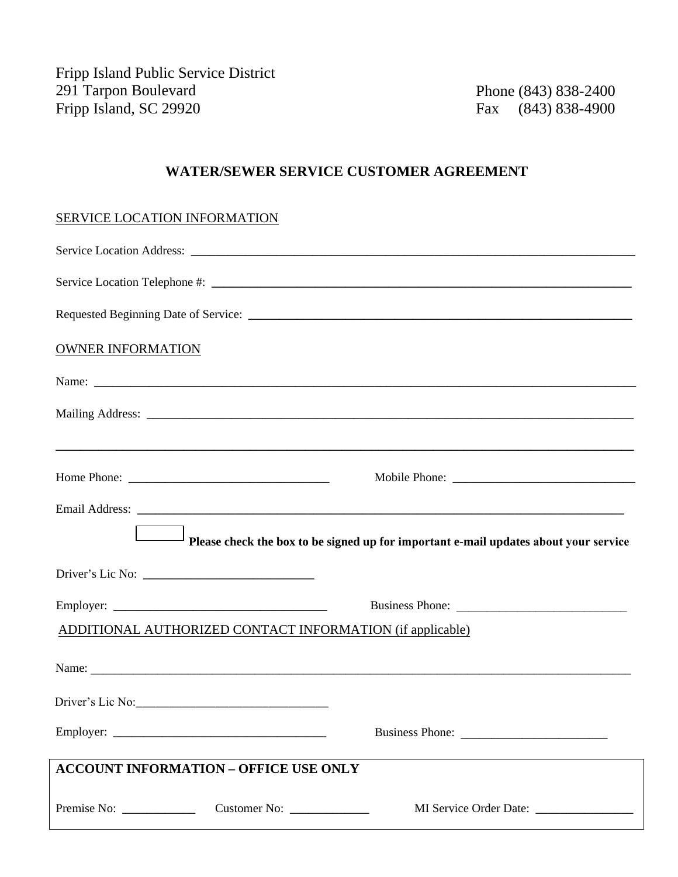Fripp Island Public Service District 291 Tarpon Boulevard Fripp Island, SC 29920

Phone (843) 838-2400 Fax (843) 838-4900

## **WATER/SEWER SERVICE CUSTOMER AGREEMENT**

## SERVICE LOCATION INFORMATION

| <b>OWNER INFORMATION</b>                                                             |                 |
|--------------------------------------------------------------------------------------|-----------------|
|                                                                                      |                 |
|                                                                                      |                 |
|                                                                                      |                 |
|                                                                                      |                 |
|                                                                                      |                 |
| Please check the box to be signed up for important e-mail updates about your service |                 |
|                                                                                      |                 |
|                                                                                      | Business Phone: |
| <b>ADDITIONAL AUTHORIZED CONTACT INFORMATION (if applicable)</b>                     |                 |
|                                                                                      |                 |
|                                                                                      |                 |
|                                                                                      |                 |
| <b>ACCOUNT INFORMATION - OFFICE USE ONLY</b>                                         |                 |
|                                                                                      |                 |